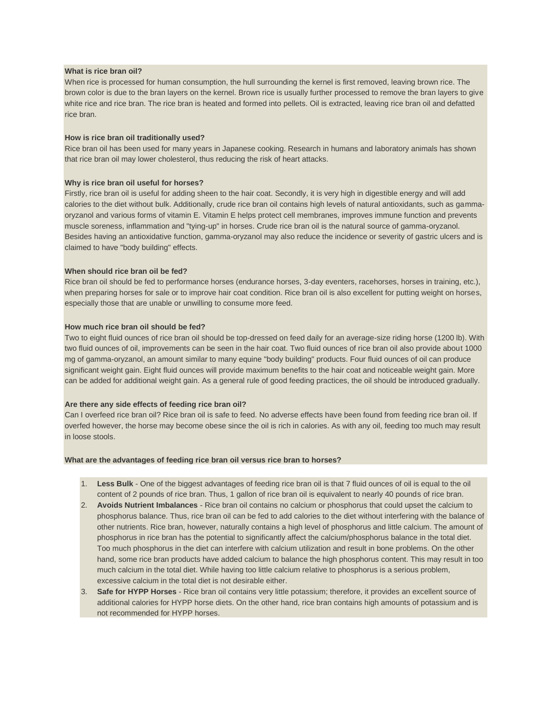# **What is rice bran oil?**

When rice is processed for human consumption, the hull surrounding the kernel is first removed, leaving brown rice. The brown color is due to the bran layers on the kernel. Brown rice is usually further processed to remove the bran layers to give white rice and rice bran. The rice bran is heated and formed into pellets. Oil is extracted, leaving rice bran oil and defatted rice bran.

## **How is rice bran oil traditionally used?**

Rice bran oil has been used for many years in Japanese cooking. Research in humans and laboratory animals has shown that rice bran oil may lower cholesterol, thus reducing the risk of heart attacks.

# **Why is rice bran oil useful for horses?**

Firstly, rice bran oil is useful for adding sheen to the hair coat. Secondly, it is very high in digestible energy and will add calories to the diet without bulk. Additionally, crude rice bran oil contains high levels of natural antioxidants, such as gammaoryzanol and various forms of vitamin E. Vitamin E helps protect cell membranes, improves immune function and prevents muscle soreness, inflammation and "tying-up" in horses. Crude rice bran oil is the natural source of gamma-oryzanol. Besides having an antioxidative function, gamma-oryzanol may also reduce the incidence or severity of gastric ulcers and is claimed to have "body building" effects.

# **When should rice bran oil be fed?**

Rice bran oil should be fed to performance horses (endurance horses, 3-day eventers, racehorses, horses in training, etc.), when preparing horses for sale or to improve hair coat condition. Rice bran oil is also excellent for putting weight on horses, especially those that are unable or unwilling to consume more feed.

# **How much rice bran oil should be fed?**

Two to eight fluid ounces of rice bran oil should be top-dressed on feed daily for an average-size riding horse (1200 lb). With two fluid ounces of oil, improvements can be seen in the hair coat. Two fluid ounces of rice bran oil also provide about 1000 mg of gamma-oryzanol, an amount similar to many equine "body building" products. Four fluid ounces of oil can produce significant weight gain. Eight fluid ounces will provide maximum benefits to the hair coat and noticeable weight gain. More can be added for additional weight gain. As a general rule of good feeding practices, the oil should be introduced gradually.

### **Are there any side effects of feeding rice bran oil?**

Can I overfeed rice bran oil? Rice bran oil is safe to feed. No adverse effects have been found from feeding rice bran oil. If overfed however, the horse may become obese since the oil is rich in calories. As with any oil, feeding too much may result in loose stools.

# **What are the advantages of feeding rice bran oil versus rice bran to horses?**

- 1. **Less Bulk** One of the biggest advantages of feeding rice bran oil is that 7 fluid ounces of oil is equal to the oil content of 2 pounds of rice bran. Thus, 1 gallon of rice bran oil is equivalent to nearly 40 pounds of rice bran.
- 2. **Avoids Nutrient Imbalances** Rice bran oil contains no calcium or phosphorus that could upset the calcium to phosphorus balance. Thus, rice bran oil can be fed to add calories to the diet without interfering with the balance of other nutrients. Rice bran, however, naturally contains a high level of phosphorus and little calcium. The amount of phosphorus in rice bran has the potential to significantly affect the calcium/phosphorus balance in the total diet. Too much phosphorus in the diet can interfere with calcium utilization and result in bone problems. On the other hand, some rice bran products have added calcium to balance the high phosphorus content. This may result in too much calcium in the total diet. While having too little calcium relative to phosphorus is a serious problem, excessive calcium in the total diet is not desirable either.
- 3. **Safe for HYPP Horses** Rice bran oil contains very little potassium; therefore, it provides an excellent source of additional calories for HYPP horse diets. On the other hand, rice bran contains high amounts of potassium and is not recommended for HYPP horses.